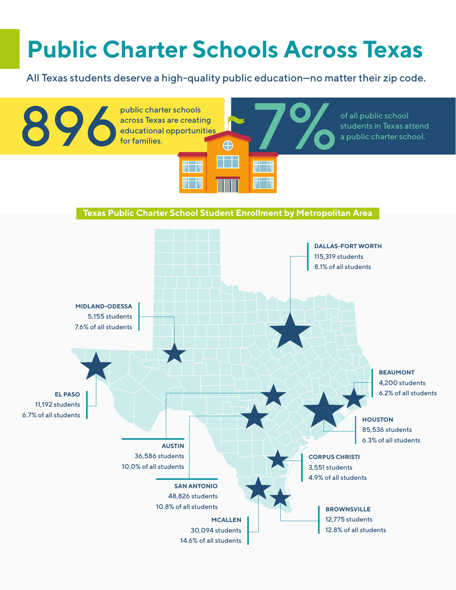## **Public Charter Schools Across Texas**

All Texas students deserve a high-quality public education—no matter their zip code.